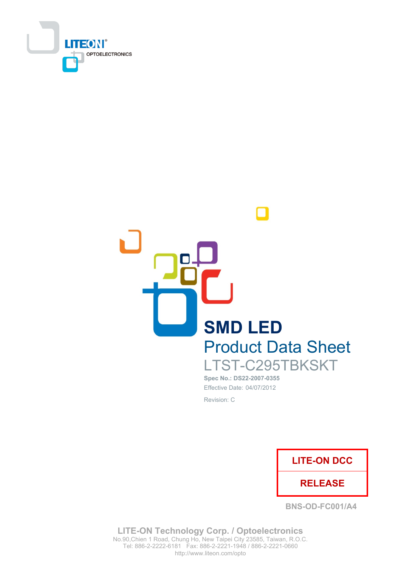



Spec No.: DS22-2007-0355 Effective Date: 04/07/2012 Revision: C



**BNS-OD-FC001/A4** 

**LITE-ON Technology Corp. / Optoelectronics** No.90, Chien 1 Road, Chung Ho, New Taipei City 23585, Taiwan, R.O.C. Tel: 886-2-2222-6181 Fax: 886-2-2221-1948 / 886-2-2221-0660 http://www.liteon.com/opto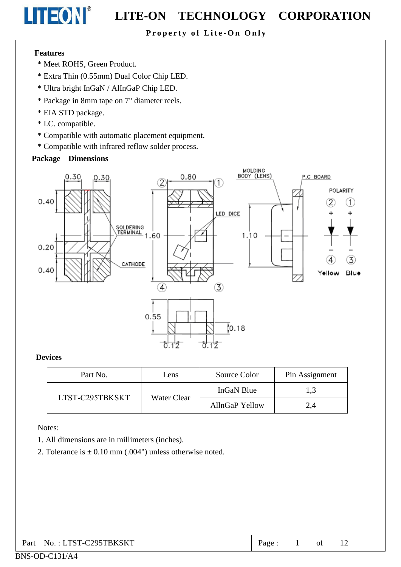# Property of Lite-On Only

### **Features**

LITEON®

- \* Meet ROHS. Green Product.
- \* Extra Thin (0.55mm) Dual Color Chip LED.
- \* Ultra bright InGaN / AlInGaP Chip LED.
- \* Package in 8mm tape on 7" diameter reels.
- \* EIA STD package.
- \* I.C. compatible.
- \* Compatible with automatic placement equipment.
- \* Compatible with infrared reflow solder process.

## Package Dimensions



### **Devices**

| Part No. | Lens                           | Source Color | Pin Assignment |
|----------|--------------------------------|--------------|----------------|
|          |                                | InGaN Blue   | 1,3            |
|          | LTST-C295TBKSKT<br>Water Clear |              | 2,4            |

### Notes:

- 1. All dimensions are in millimeters (inches).
- 2. Tolerance is  $\pm$  0.10 mm (.004") unless otherwise noted.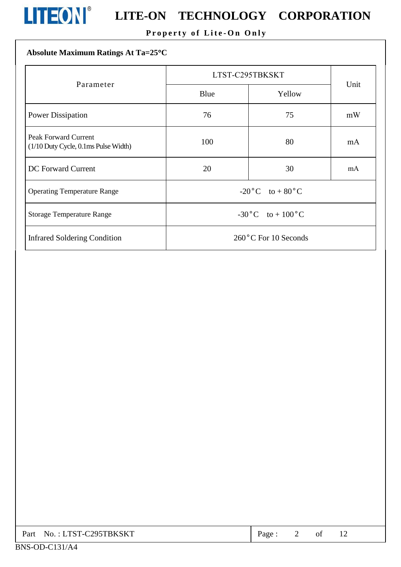

# **LITEON**<sup>®</sup> LITE-ON TECHNOLOGY CORPORATION

# Property of Lite-On Only

# Absolute Maximum Ratings At Ta=25°C

|                                                                     | LTST-C295TBKSKT                   | Unit |    |  |  |
|---------------------------------------------------------------------|-----------------------------------|------|----|--|--|
| Parameter                                                           | Blue<br>Yellow                    |      |    |  |  |
| <b>Power Dissipation</b>                                            | 76                                | 75   | mW |  |  |
| <b>Peak Forward Current</b><br>(1/10 Duty Cycle, 0.1ms Pulse Width) | 100                               | 80   | mA |  |  |
| <b>DC</b> Forward Current                                           | 20                                | 30   | mA |  |  |
| <b>Operating Temperature Range</b>                                  | $-20\degree C$ to $+80\degree C$  |      |    |  |  |
| <b>Storage Temperature Range</b>                                    | $-30\degree C$ to $+100\degree C$ |      |    |  |  |
| <b>Infrared Soldering Condition</b>                                 | 260°C For 10 Seconds              |      |    |  |  |

| Part No.: LTST-C295TBKSKT | Page: |  |  |  |  |
|---------------------------|-------|--|--|--|--|
|---------------------------|-------|--|--|--|--|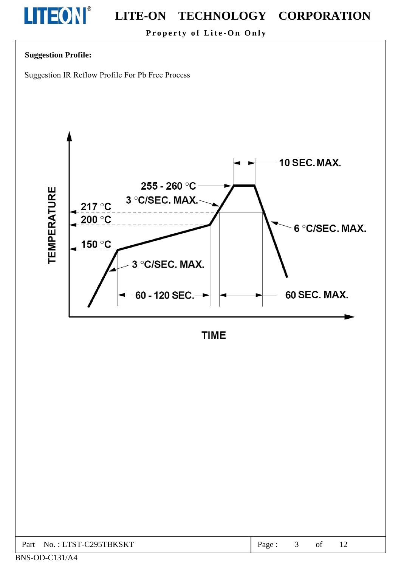

Property of Lite-On Only

## **Suggestion Profile:**

Suggestion IR Reflow Profile For Pb Free Process



**TIME** 

| : LTST-C295TBKSKT<br>Part<br>No. | Page |  | $\mathbf{u}$ | 1 <sub>0</sub><br>$\overline{\phantom{0}}$ |  |
|----------------------------------|------|--|--------------|--------------------------------------------|--|
|----------------------------------|------|--|--------------|--------------------------------------------|--|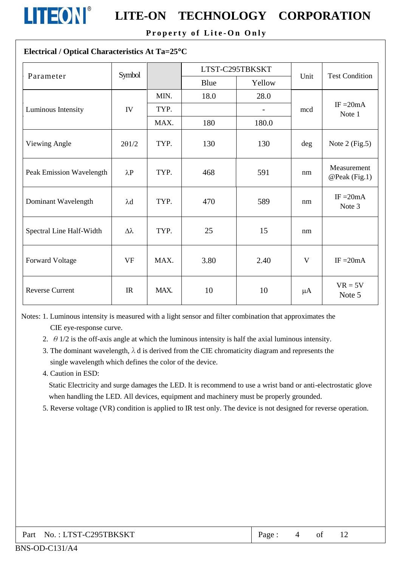

# **LITEON**<sup>®</sup> LITE-ON TECHNOLOGY CORPORATION

Property of Lite-On Only

### Electrical / Optical Characteristics At Ta=25°C

| Parameter                | Symbol        |      |      | LTST-C295TBKSKT | Unit    | <b>Test Condition</b>        |  |
|--------------------------|---------------|------|------|-----------------|---------|------------------------------|--|
|                          |               |      | Blue | Yellow          |         |                              |  |
|                          |               | MIN. | 18.0 | 28.0            |         |                              |  |
| Luminous Intensity       | IV            | TYP. |      | $\overline{a}$  | mcd     | IF $=20mA$<br>Note 1         |  |
|                          |               | MAX. | 180  | 180.0           |         |                              |  |
| Viewing Angle            | $2\theta$ 1/2 | TYP. | 130  | 130             | deg     | Note $2$ (Fig.5)             |  |
| Peak Emission Wavelength | $\lambda P$   | TYP. | 468  | 591             | nm      | Measurement<br>@Peak (Fig.1) |  |
| Dominant Wavelength      | $\lambda$ d   | TYP. | 470  | 589             | nm      | IF $=20mA$<br>Note 3         |  |
| Spectral Line Half-Width | Δλ            | TYP. | 25   | 15              | nm      |                              |  |
| <b>Forward Voltage</b>   | <b>VF</b>     | MAX. | 3.80 | 2.40            | V       | IF $=20mA$                   |  |
| <b>Reverse Current</b>   | IR            | MAX. | 10   | 10              | $\mu A$ | $VR = 5V$<br>Note 5          |  |

Notes: 1. Luminous intensity is measured with a light sensor and filter combination that approximates the CIE eye-response curve.

- 2.  $\theta$  1/2 is the off-axis angle at which the luminous intensity is half the axial luminous intensity.
- 3. The dominant wavelength,  $\lambda$  d is derived from the CIE chromaticity diagram and represents the single wavelength which defines the color of the device.
- 4. Caution in ESD:

Static Electricity and surge damages the LED. It is recommend to use a wrist band or anti-electrostatic glove when handling the LED. All devices, equipment and machinery must be properly grounded.

5. Reverse voltage (VR) condition is applied to IR test only. The device is not designed for reverse operation.

| Part No.: LTST-C295TBKSKT | Page : |  |  |  |  |
|---------------------------|--------|--|--|--|--|
|---------------------------|--------|--|--|--|--|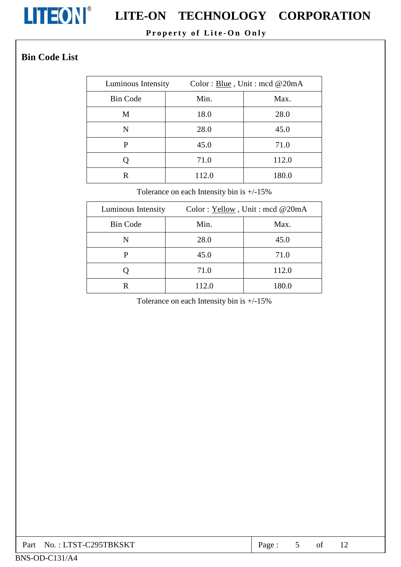

# **LITEON**<sup>®</sup> LITE-ON TECHNOLOGY CORPORATION

# Property of Lite-On Only

# **Bin Code List**

| Luminous Intensity | Color: Blue, Unit: mcd @20mA |       |  |  |  |
|--------------------|------------------------------|-------|--|--|--|
| <b>Bin Code</b>    | Min.                         | Max.  |  |  |  |
| M                  | 18.0                         | 28.0  |  |  |  |
| N                  | 28.0                         | 45.0  |  |  |  |
| P                  | 45.0                         | 71.0  |  |  |  |
|                    | 71.0                         | 112.0 |  |  |  |
| R                  | 112.0                        | 180.0 |  |  |  |

Tolerance on each Intensity bin is  $+/-15\%$ 

| Luminous Intensity | Color: Yellow, Unit: mcd @20mA |       |  |  |  |
|--------------------|--------------------------------|-------|--|--|--|
| <b>Bin Code</b>    | Min.                           | Max.  |  |  |  |
| N                  | 28.0                           | 45.0  |  |  |  |
| P                  | 45.0                           | 71.0  |  |  |  |
|                    | 71.0                           | 112.0 |  |  |  |
|                    | 112.0                          | 180.0 |  |  |  |

Tolerance on each Intensity bin is  $+/-15\%$ 

| Part No.: LTST-C295TBKSKT | Page: |  |  |  |  |
|---------------------------|-------|--|--|--|--|
|---------------------------|-------|--|--|--|--|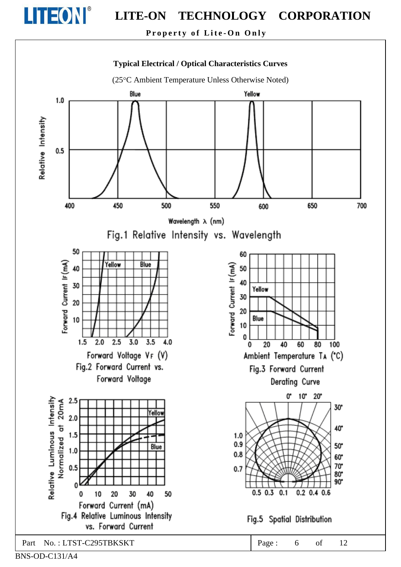

Property of Lite-On Only

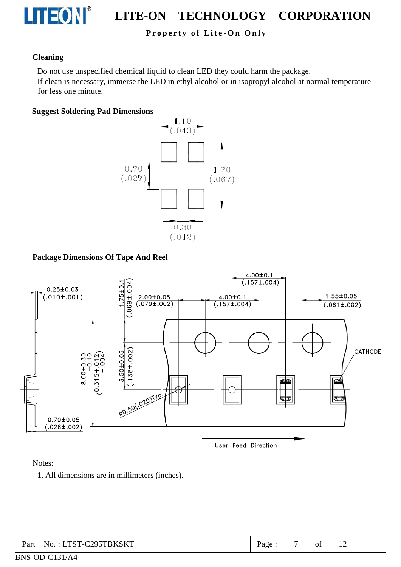

# Property of Lite-On Only

#### **Cleaning**

Do not use unspecified chemical liquid to clean LED they could harm the package.

If clean is necessary, immerse the LED in ethyl alcohol or in isopropyl alcohol at normal temperature for less one minute.

#### **Suggest Soldering Pad Dimensions**



### **Package Dimensions Of Tape And Reel**

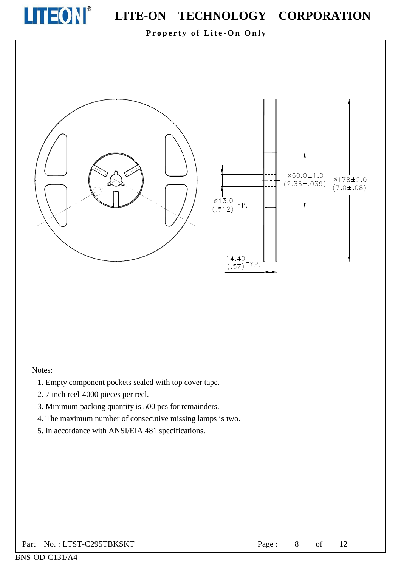

ø60.0±1.0

 $(2.36 \pm .039)$ 

Ø178±2.0

 $(7.0 \pm .08)$ 

Property of Lite-On Only



# Notes:

- 1. Empty component pockets sealed with top cover tape.
- 2.7 inch reel-4000 pieces per reel.
- 3. Minimum packing quantity is 500 pcs for remainders.
- 4. The maximum number of consecutive missing lamps is two.
- 5. In accordance with ANSI/EIA 481 specifications.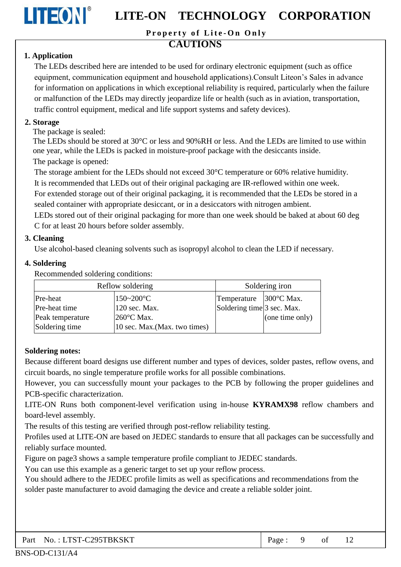

Property of Lite-On Only

# **CAUTIONS**

# 1. Application

The LEDs described here are intended to be used for ordinary electronic equipment (such as office equipment, communication equipment and household applications). Consult Liteon's Sales in advance for information on applications in which exceptional reliability is required, particularly when the failure or malfunction of the LEDs may directly jeopardize life or health (such as in aviation, transportation, traffic control equipment, medical and life support systems and safety devices).

# 2. Storage

The package is sealed:

The LEDs should be stored at 30 °C or less and 90%RH or less. And the LEDs are limited to use within one year, while the LEDs is packed in moisture-proof package with the desiccants inside. The package is opened:

The storage ambient for the LEDs should not exceed 30°C temperature or 60% relative humidity.

It is recommended that LEDs out of their original packaging are IR-reflowed within one week.

For extended storage out of their original packaging, it is recommended that the LEDs be stored in a sealed container with appropriate desiccant, or in a desiccators with nitrogen ambient.

LEDs stored out of their original packaging for more than one week should be baked at about 60 deg C for at least 20 hours before solder assembly.

# 3. Cleaning

Use alcohol-based cleaning solvents such as isopropyl alcohol to clean the LED if necessary.

# 4. Soldering

Recommended soldering conditions:

| Reflow soldering |                               | Soldering iron             |                 |  |
|------------------|-------------------------------|----------------------------|-----------------|--|
| Pre-heat         | $150 - 200$ °C                | Temperature   300 °C Max.  |                 |  |
| Pre-heat time    | 120 sec. Max.                 | Soldering time 3 sec. Max. |                 |  |
| Peak temperature | $260^{\circ}$ C Max.          |                            | (one time only) |  |
| Soldering time   | 10 sec. Max. (Max. two times) |                            |                 |  |

# **Soldering notes:**

Because different board designs use different number and types of devices, solder pastes, reflow ovens, and circuit boards, no single temperature profile works for all possible combinations.

However, you can successfully mount your packages to the PCB by following the proper guidelines and PCB-specific characterization.

LITE-ON Runs both component-level verification using in-house KYRAMX98 reflow chambers and board-level assembly.

The results of this testing are verified through post-reflow reliability testing.

Profiles used at LITE-ON are based on JEDEC standards to ensure that all packages can be successfully and reliably surface mounted.

Figure on page3 shows a sample temperature profile compliant to JEDEC standards.

You can use this example as a generic target to set up your reflow process.

You should adhere to the JEDEC profile limits as well as specifications and recommendations from the solder paste manufacturer to avoid damaging the device and create a reliable solder joint.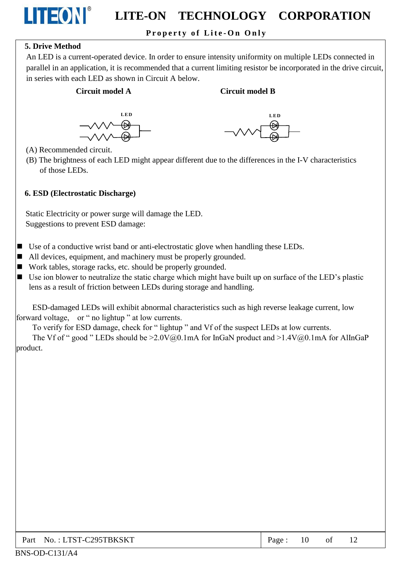# Property of Lite-On Only

## **5. Drive Method**

**LITEON®** 

An LED is a current-operated device. In order to ensure intensity uniformity on multiple LEDs connected in parallel in an application, it is recommended that a current limiting resistor be incorporated in the drive circuit, in series with each LED as shown in Circuit A below.

### Circuit model A

#### **Circuit model B**





(A) Recommended circuit.

(B) The brightness of each LED might appear different due to the differences in the I-V characteristics of those LEDs.

#### 6. ESD (Electrostatic Discharge)

Static Electricity or power surge will damage the LED. Suggestions to prevent ESD damage:

- $\blacksquare$  Use of a conductive wrist band or anti-electrostatic glove when handling these LEDs.
- $\blacksquare$  All devices, equipment, and machinery must be properly grounded.
- Work tables, storage racks, etc. should be properly grounded.
- $\blacksquare$  Use ion blower to neutralize the static charge which might have built up on surface of the LED's plastic lens as a result of friction between LEDs during storage and handling.

ESD-damaged LEDs will exhibit abnormal characteristics such as high reverse leakage current, low forward voltage, or " no lightup " at low currents.

To verify for ESD damage, check for "lightup" and Vf of the suspect LEDs at low currents.

The Vf of " good " LEDs should be  $\geq 2.0 \sqrt{a_0}$ . 1mA for InGaN product and  $\geq 1.4 \sqrt{a_0}$ . 1mA for AlInGaP product.

| Part No.: LTST-C295TBKSKT | Page: $10$ of $12$ |  |  |  |
|---------------------------|--------------------|--|--|--|
|---------------------------|--------------------|--|--|--|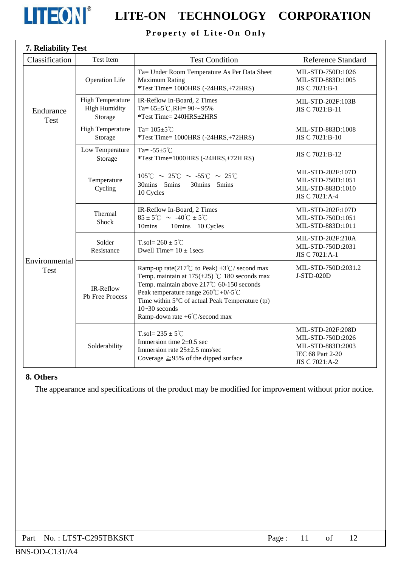

# **LITEON** LITE-ON TECHNOLOGY CORPORATION

# Property of Lite-On Only

| Classification               | Test Item                                                  | <b>Test Condition</b>                                                                                                                                                                                                                                                                                                                | <b>Reference Standard</b>                                                                         |
|------------------------------|------------------------------------------------------------|--------------------------------------------------------------------------------------------------------------------------------------------------------------------------------------------------------------------------------------------------------------------------------------------------------------------------------------|---------------------------------------------------------------------------------------------------|
| Endurance<br><b>Test</b>     | <b>Operation Life</b>                                      | Ta= Under Room Temperature As Per Data Sheet<br><b>Maximum Rating</b><br>*Test Time= 1000HRS (-24HRS,+72HRS)                                                                                                                                                                                                                         | MIL-STD-750D:1026<br>MIL-STD-883D:1005<br>JIS C 7021:B-1                                          |
|                              | <b>High Temperature</b><br><b>High Humidity</b><br>Storage | IR-Reflow In-Board, 2 Times<br>Ta= $65\pm5^{\circ}$ C, RH= $90\sim95\%$<br>*Test Time= 240HRS±2HRS                                                                                                                                                                                                                                   | MIL-STD-202F:103B<br>JIS C 7021:B-11                                                              |
|                              | <b>High Temperature</b><br>Storage                         | Ta= $105 \pm 5^{\circ}$ C<br>*Test Time= 1000HRS (-24HRS,+72HRS)                                                                                                                                                                                                                                                                     | MIL-STD-883D:1008<br>JIS C 7021:B-10                                                              |
|                              | Low Temperature<br>Storage                                 | Ta= $-55\pm5^{\circ}$ C<br>*Test Time=1000HRS (-24HRS,+72H RS)                                                                                                                                                                                                                                                                       | JIS C 7021:B-12                                                                                   |
| Environmental<br><b>Test</b> | Temperature<br>Cycling                                     | $105^{\circ}$ C ~ 25 $^{\circ}$ C ~ -55 $^{\circ}$ C ~ 25 $^{\circ}$ C<br>30mins 5mins<br>30mins 5mins<br>10 Cycles                                                                                                                                                                                                                  | MIL-STD-202F:107D<br>MIL-STD-750D:1051<br>MIL-STD-883D:1010<br>JIS C 7021:A-4                     |
|                              | Thermal<br><b>Shock</b>                                    | IR-Reflow In-Board, 2 Times<br>$85 \pm 5^{\circ}$ C ~ -40 $^{\circ}$ C $\pm 5^{\circ}$ C<br>10mins<br>10mins 10 Cycles                                                                                                                                                                                                               | MIL-STD-202F:107D<br>MIL-STD-750D:1051<br>MIL-STD-883D:1011                                       |
|                              | Solder<br>Resistance                                       | T.sol= $260 \pm 5^{\circ}$ C<br>Dwell Time= $10 \pm 1$ secs                                                                                                                                                                                                                                                                          | MIL-STD-202F:210A<br>MIL-STD-750D:2031<br>JIS C 7021:A-1                                          |
|                              | IR-Reflow<br>Pb Free Process                               | Ramp-up rate(217°C to Peak) +3°C/ second max<br>Temp. maintain at $175(\pm 25)$ °C 180 seconds max<br>Temp. maintain above 217℃ 60-150 seconds<br>Peak temperature range $260^{\circ}C + 0/5^{\circ}C$<br>Time within $5^{\circ}$ C of actual Peak Temperature (tp)<br>$10 - 30$ seconds<br>Ramp-down rate $+6^{\circ}$ C/second max | MIL-STD-750D:2031.2<br>J-STD-020D                                                                 |
|                              | Solderability                                              | T.sol= $235 \pm 5^{\circ}$ C<br>Immersion time $2\pm 0.5$ sec<br>Immersion rate $25\pm2.5$ mm/sec<br>Coverage $\geq$ 95% of the dipped surface                                                                                                                                                                                       | MIL-STD-202F:208D<br>MIL-STD-750D:2026<br>MIL-STD-883D:2003<br>IEC 68 Part 2-20<br>JIS C 7021:A-2 |

## 8. Others

The appearance and specifications of the product may be modified for improvement without prior notice.

| Part No.: LTST-C295TBKSKT | Page: |  | of |  |  |
|---------------------------|-------|--|----|--|--|
|---------------------------|-------|--|----|--|--|